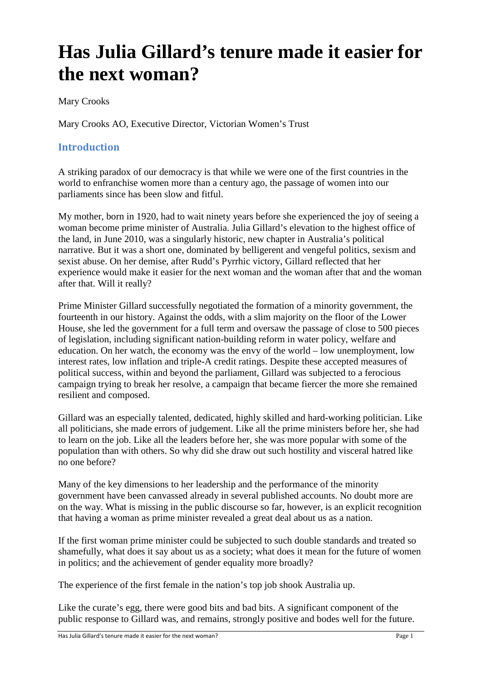# **Has Julia Gillard's tenure made it easier for the next woman?**

Mary Crooks

Mary Crooks AO, Executive Director, Victorian Women's Trust

## **Introduction**

A striking paradox of our democracy is that while we were one of the first countries in the world to enfranchise women more than a century ago, the passage of women into our parliaments since has been slow and fitful.

My mother, born in 1920, had to wait ninety years before she experienced the joy of seeing a woman become prime minister of Australia. Julia Gillard's elevation to the highest office of the land, in June 2010, was a singularly historic, new chapter in Australia's political narrative. But it was a short one, dominated by belligerent and vengeful politics, sexism and sexist abuse. On her demise, after Rudd's Pyrrhic victory, Gillard reflected that her experience would make it easier for the next woman and the woman after that and the woman after that. Will it really?

Prime Minister Gillard successfully negotiated the formation of a minority government, the fourteenth in our history. Against the odds, with a slim majority on the floor of the Lower House, she led the government for a full term and oversaw the passage of close to 500 pieces of legislation, including significant nation-building reform in water policy, welfare and education. On her watch, the economy was the envy of the world – low unemployment, low interest rates, low inflation and triple-A credit ratings. Despite these accepted measures of political success, within and beyond the parliament, Gillard was subjected to a ferocious campaign trying to break her resolve, a campaign that became fiercer the more she remained resilient and composed.

Gillard was an especially talented, dedicated, highly skilled and hard-working politician. Like all politicians, she made errors of judgement. Like all the prime ministers before her, she had to learn on the job. Like all the leaders before her, she was more popular with some of the population than with others. So why did she draw out such hostility and visceral hatred like no one before?

Many of the key dimensions to her leadership and the performance of the minority government have been canvassed already in several published accounts. No doubt more are on the way. What is missing in the public discourse so far, however, is an explicit recognition that having a woman as prime minister revealed a great deal about us as a nation.

If the first woman prime minister could be subjected to such double standards and treated so shamefully, what does it say about us as a society; what does it mean for the future of women in politics; and the achievement of gender equality more broadly?

The experience of the first female in the nation's top job shook Australia up.

Like the curate's egg, there were good bits and bad bits. A significant component of the public response to Gillard was, and remains, strongly positive and bodes well for the future.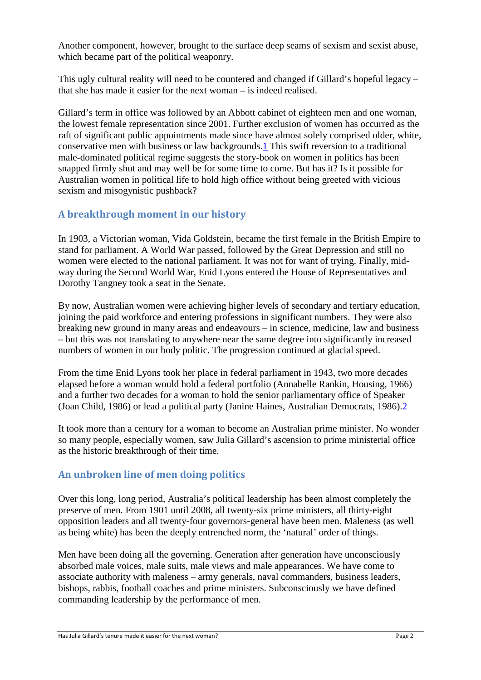Another component, however, brought to the surface deep seams of sexism and sexist abuse, which became part of the political weaponry.

This ugly cultural reality will need to be countered and changed if Gillard's hopeful legacy – that she has made it easier for the next woman – is indeed realised.

Gillard's term in office was followed by an Abbott cabinet of eighteen men and one woman, the lowest female representation since 2001. Further exclusion of women has occurred as the raft of significant public appointments made since have almost solely comprised older, white, conservative men with business or law backgrounds.1 This swift reversion to a traditional male-dominated political regime suggests the story-book on women in politics has been snapped firmly shut and may well be for some time to come. But has it? Is it possible for Australian women in political life to hold high office without being greeted with vicious sexism and misogynistic pushback?

## **A breakthrough moment in our history**

In 1903, a Victorian woman, Vida Goldstein, became the first female in the British Empire to stand for parliament. A World War passed, followed by the Great Depression and still no women were elected to the national parliament. It was not for want of trying. Finally, midway during the Second World War, Enid Lyons entered the House of Representatives and Dorothy Tangney took a seat in the Senate.

By now, Australian women were achieving higher levels of secondary and tertiary education, joining the paid workforce and entering professions in significant numbers. They were also breaking new ground in many areas and endeavours – in science, medicine, law and business – but this was not translating to anywhere near the same degree into significantly increased numbers of women in our body politic. The progression continued at glacial speed.

From the time Enid Lyons took her place in federal parliament in 1943, two more decades elapsed before a woman would hold a federal portfolio (Annabelle Rankin, Housing, 1966) and a further two decades for a woman to hold the senior parliamentary office of Speaker (Joan Child, 1986) or lead a political party (Janine Haines, Australian Democrats, 1986).2

It took more than a century for a woman to become an Australian prime minister. No wonder so many people, especially women, saw Julia Gillard's ascension to prime ministerial office as the historic breakthrough of their time.

## **An unbroken line of men doing politics**

Over this long, long period, Australia's political leadership has been almost completely the preserve of men. From 1901 until 2008, all twenty-six prime ministers, all thirty-eight opposition leaders and all twenty-four governors-general have been men. Maleness (as well as being white) has been the deeply entrenched norm, the 'natural' order of things.

Men have been doing all the governing. Generation after generation have unconsciously absorbed male voices, male suits, male views and male appearances. We have come to associate authority with maleness – army generals, naval commanders, business leaders, bishops, rabbis, football coaches and prime ministers. Subconsciously we have defined commanding leadership by the performance of men.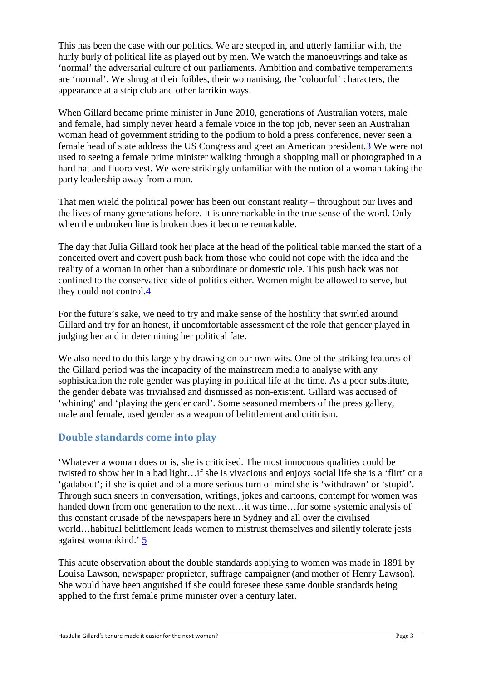This has been the case with our politics. We are steeped in, and utterly familiar with, the hurly burly of political life as played out by men. We watch the manoeuvrings and take as 'normal' the adversarial culture of our parliaments. Ambition and combative temperaments are 'normal'. We shrug at their foibles, their womanising, the 'colourful' characters, the appearance at a strip club and other larrikin ways.

When Gillard became prime minister in June 2010, generations of Australian voters, male and female, had simply never heard a female voice in the top job, never seen an Australian woman head of government striding to the podium to hold a press conference, never seen a female head of state address the US Congress and greet an American president.3 We were not used to seeing a female prime minister walking through a shopping mall or photographed in a hard hat and fluoro vest. We were strikingly unfamiliar with the notion of a woman taking the party leadership away from a man.

That men wield the political power has been our constant reality – throughout our lives and the lives of many generations before. It is unremarkable in the true sense of the word. Only when the unbroken line is broken does it become remarkable.

The day that Julia Gillard took her place at the head of the political table marked the start of a concerted overt and covert push back from those who could not cope with the idea and the reality of a woman in other than a subordinate or domestic role. This push back was not confined to the conservative side of politics either. Women might be allowed to serve, but they could not control.4

For the future's sake, we need to try and make sense of the hostility that swirled around Gillard and try for an honest, if uncomfortable assessment of the role that gender played in judging her and in determining her political fate.

We also need to do this largely by drawing on our own wits. One of the striking features of the Gillard period was the incapacity of the mainstream media to analyse with any sophistication the role gender was playing in political life at the time. As a poor substitute, the gender debate was trivialised and dismissed as non-existent. Gillard was accused of 'whining' and 'playing the gender card'. Some seasoned members of the press gallery, male and female, used gender as a weapon of belittlement and criticism.

## **Double standards come into play**

'Whatever a woman does or is, she is criticised. The most innocuous qualities could be twisted to show her in a bad light…if she is vivacious and enjoys social life she is a 'flirt' or a 'gadabout'; if she is quiet and of a more serious turn of mind she is 'withdrawn' or 'stupid'. Through such sneers in conversation, writings, jokes and cartoons, contempt for women was handed down from one generation to the next... it was time... for some systemic analysis of this constant crusade of the newspapers here in Sydney and all over the civilised world…habitual belittlement leads women to mistrust themselves and silently tolerate jests against womankind.' 5

This acute observation about the double standards applying to women was made in 1891 by Louisa Lawson, newspaper proprietor, suffrage campaigner (and mother of Henry Lawson). She would have been anguished if she could foresee these same double standards being applied to the first female prime minister over a century later.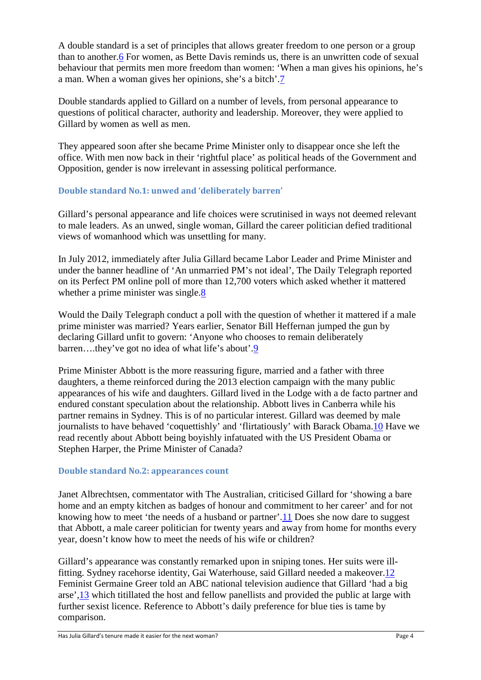A double standard is a set of principles that allows greater freedom to one person or a group than to another.6 For women, as Bette Davis reminds us, there is an unwritten code of sexual behaviour that permits men more freedom than women: 'When a man gives his opinions, he's a man. When a woman gives her opinions, she's a bitch'.7

Double standards applied to Gillard on a number of levels, from personal appearance to questions of political character, authority and leadership. Moreover, they were applied to Gillard by women as well as men.

They appeared soon after she became Prime Minister only to disappear once she left the office. With men now back in their 'rightful place' as political heads of the Government and Opposition, gender is now irrelevant in assessing political performance.

#### **Double standard No.1: unwed and 'deliberately barren'**

Gillard's personal appearance and life choices were scrutinised in ways not deemed relevant to male leaders. As an unwed, single woman, Gillard the career politician defied traditional views of womanhood which was unsettling for many.

In July 2012, immediately after Julia Gillard became Labor Leader and Prime Minister and under the banner headline of 'An unmarried PM's not ideal', The Daily Telegraph reported on its Perfect PM online poll of more than 12,700 voters which asked whether it mattered whether a prime minister was single.8

Would the Daily Telegraph conduct a poll with the question of whether it mattered if a male prime minister was married? Years earlier, Senator Bill Heffernan jumped the gun by declaring Gillard unfit to govern: 'Anyone who chooses to remain deliberately barren….they've got no idea of what life's about'.9

Prime Minister Abbott is the more reassuring figure, married and a father with three daughters, a theme reinforced during the 2013 election campaign with the many public appearances of his wife and daughters. Gillard lived in the Lodge with a de facto partner and endured constant speculation about the relationship. Abbott lives in Canberra while his partner remains in Sydney. This is of no particular interest. Gillard was deemed by male journalists to have behaved 'coquettishly' and 'flirtatiously' with Barack Obama.10 Have we read recently about Abbott being boyishly infatuated with the US President Obama or Stephen Harper, the Prime Minister of Canada?

#### **Double standard No.2: appearances count**

Janet Albrechtsen, commentator with The Australian, criticised Gillard for 'showing a bare home and an empty kitchen as badges of honour and commitment to her career' and for not knowing how to meet 'the needs of a husband or partner'.11 Does she now dare to suggest that Abbott, a male career politician for twenty years and away from home for months every year, doesn't know how to meet the needs of his wife or children?

Gillard's appearance was constantly remarked upon in sniping tones. Her suits were illfitting. Sydney racehorse identity, Gai Waterhouse, said Gillard needed a makeover.12 Feminist Germaine Greer told an ABC national television audience that Gillard 'had a big arse',13 which titillated the host and fellow panellists and provided the public at large with further sexist licence. Reference to Abbott's daily preference for blue ties is tame by comparison.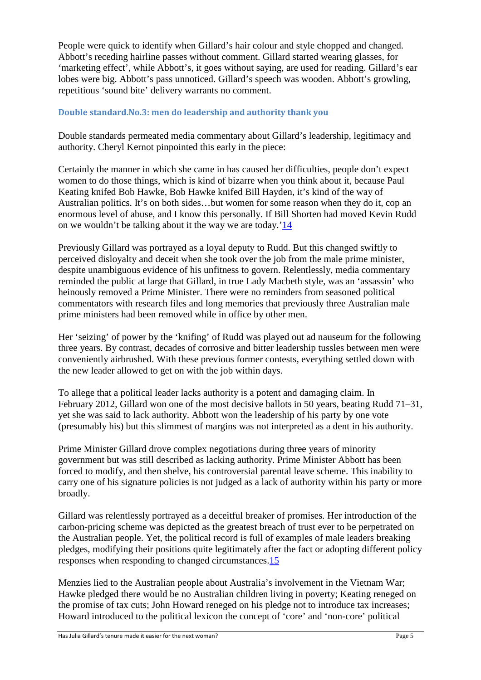People were quick to identify when Gillard's hair colour and style chopped and changed. Abbott's receding hairline passes without comment. Gillard started wearing glasses, for 'marketing effect', while Abbott's, it goes without saying, are used for reading. Gillard's ear lobes were big. Abbott's pass unnoticed. Gillard's speech was wooden. Abbott's growling, repetitious 'sound bite' delivery warrants no comment.

#### **Double standard.No.3: men do leadership and authority thank you**

Double standards permeated media commentary about Gillard's leadership, legitimacy and authority. Cheryl Kernot pinpointed this early in the piece:

Certainly the manner in which she came in has caused her difficulties, people don't expect women to do those things, which is kind of bizarre when you think about it, because Paul Keating knifed Bob Hawke, Bob Hawke knifed Bill Hayden, it's kind of the way of Australian politics. It's on both sides…but women for some reason when they do it, cop an enormous level of abuse, and I know this personally. If Bill Shorten had moved Kevin Rudd on we wouldn't be talking about it the way we are today.'14

Previously Gillard was portrayed as a loyal deputy to Rudd. But this changed swiftly to perceived disloyalty and deceit when she took over the job from the male prime minister, despite unambiguous evidence of his unfitness to govern. Relentlessly, media commentary reminded the public at large that Gillard, in true Lady Macbeth style, was an 'assassin' who heinously removed a Prime Minister. There were no reminders from seasoned political commentators with research files and long memories that previously three Australian male prime ministers had been removed while in office by other men.

Her 'seizing' of power by the 'knifing' of Rudd was played out ad nauseum for the following three years. By contrast, decades of corrosive and bitter leadership tussles between men were conveniently airbrushed. With these previous former contests, everything settled down with the new leader allowed to get on with the job within days.

To allege that a political leader lacks authority is a potent and damaging claim. In February 2012, Gillard won one of the most decisive ballots in 50 years, beating Rudd 71–31, yet she was said to lack authority. Abbott won the leadership of his party by one vote (presumably his) but this slimmest of margins was not interpreted as a dent in his authority.

Prime Minister Gillard drove complex negotiations during three years of minority government but was still described as lacking authority. Prime Minister Abbott has been forced to modify, and then shelve, his controversial parental leave scheme. This inability to carry one of his signature policies is not judged as a lack of authority within his party or more broadly.

Gillard was relentlessly portrayed as a deceitful breaker of promises. Her introduction of the carbon-pricing scheme was depicted as the greatest breach of trust ever to be perpetrated on the Australian people. Yet, the political record is full of examples of male leaders breaking pledges, modifying their positions quite legitimately after the fact or adopting different policy responses when responding to changed circumstances.15

Menzies lied to the Australian people about Australia's involvement in the Vietnam War; Hawke pledged there would be no Australian children living in poverty; Keating reneged on the promise of tax cuts; John Howard reneged on his pledge not to introduce tax increases; Howard introduced to the political lexicon the concept of 'core' and 'non-core' political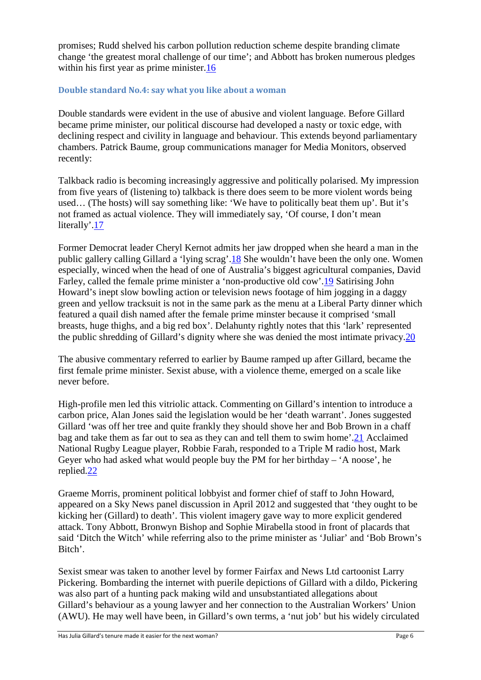promises; Rudd shelved his carbon pollution reduction scheme despite branding climate change 'the greatest moral challenge of our time'; and Abbott has broken numerous pledges within his first year as prime minister.16

#### **Double standard No.4: say what you like about a woman**

Double standards were evident in the use of abusive and violent language. Before Gillard became prime minister, our political discourse had developed a nasty or toxic edge, with declining respect and civility in language and behaviour. This extends beyond parliamentary chambers. Patrick Baume, group communications manager for Media Monitors, observed recently:

Talkback radio is becoming increasingly aggressive and politically polarised. My impression from five years of (listening to) talkback is there does seem to be more violent words being used… (The hosts) will say something like: 'We have to politically beat them up'. But it's not framed as actual violence. They will immediately say, 'Of course, I don't mean literally'.17

Former Democrat leader Cheryl Kernot admits her jaw dropped when she heard a man in the public gallery calling Gillard a 'lying scrag'.18 She wouldn't have been the only one. Women especially, winced when the head of one of Australia's biggest agricultural companies, David Farley, called the female prime minister a 'non-productive old cow'.19 Satirising John Howard's inept slow bowling action or television news footage of him jogging in a daggy green and yellow tracksuit is not in the same park as the menu at a Liberal Party dinner which featured a quail dish named after the female prime minster because it comprised 'small breasts, huge thighs, and a big red box'. Delahunty rightly notes that this 'lark' represented the public shredding of Gillard's dignity where she was denied the most intimate privacy.20

The abusive commentary referred to earlier by Baume ramped up after Gillard, became the first female prime minister. Sexist abuse, with a violence theme, emerged on a scale like never before.

High-profile men led this vitriolic attack. Commenting on Gillard's intention to introduce a carbon price, Alan Jones said the legislation would be her 'death warrant'. Jones suggested Gillard 'was off her tree and quite frankly they should shove her and Bob Brown in a chaff bag and take them as far out to sea as they can and tell them to swim home'.21 Acclaimed National Rugby League player, Robbie Farah, responded to a Triple M radio host, Mark Geyer who had asked what would people buy the PM for her birthday – 'A noose', he replied.22

Graeme Morris, prominent political lobbyist and former chief of staff to John Howard, appeared on a Sky News panel discussion in April 2012 and suggested that 'they ought to be kicking her (Gillard) to death'. This violent imagery gave way to more explicit gendered attack. Tony Abbott, Bronwyn Bishop and Sophie Mirabella stood in front of placards that said 'Ditch the Witch' while referring also to the prime minister as 'Juliar' and 'Bob Brown's Bitch'.

Sexist smear was taken to another level by former Fairfax and News Ltd cartoonist Larry Pickering. Bombarding the internet with puerile depictions of Gillard with a dildo, Pickering was also part of a hunting pack making wild and unsubstantiated allegations about Gillard's behaviour as a young lawyer and her connection to the Australian Workers' Union (AWU). He may well have been, in Gillard's own terms, a 'nut job' but his widely circulated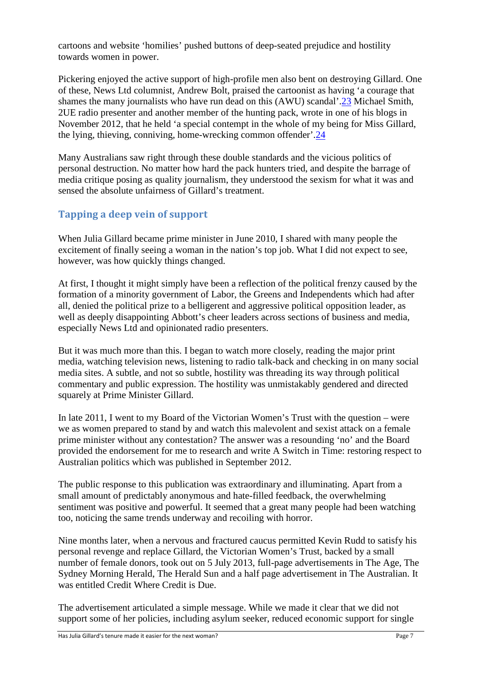cartoons and website 'homilies' pushed buttons of deep-seated prejudice and hostility towards women in power.

Pickering enjoyed the active support of high-profile men also bent on destroying Gillard. One of these, News Ltd columnist, Andrew Bolt, praised the cartoonist as having 'a courage that shames the many journalists who have run dead on this (AWU) scandal'.23 Michael Smith, 2UE radio presenter and another member of the hunting pack, wrote in one of his blogs in November 2012, that he held 'a special contempt in the whole of my being for Miss Gillard, the lying, thieving, conniving, home-wrecking common offender'.24

Many Australians saw right through these double standards and the vicious politics of personal destruction. No matter how hard the pack hunters tried, and despite the barrage of media critique posing as quality journalism, they understood the sexism for what it was and sensed the absolute unfairness of Gillard's treatment.

## **Tapping a deep vein of support**

When Julia Gillard became prime minister in June 2010, I shared with many people the excitement of finally seeing a woman in the nation's top job. What I did not expect to see, however, was how quickly things changed.

At first, I thought it might simply have been a reflection of the political frenzy caused by the formation of a minority government of Labor, the Greens and Independents which had after all, denied the political prize to a belligerent and aggressive political opposition leader, as well as deeply disappointing Abbott's cheer leaders across sections of business and media, especially News Ltd and opinionated radio presenters.

But it was much more than this. I began to watch more closely, reading the major print media, watching television news, listening to radio talk-back and checking in on many social media sites. A subtle, and not so subtle, hostility was threading its way through political commentary and public expression. The hostility was unmistakably gendered and directed squarely at Prime Minister Gillard.

In late 2011, I went to my Board of the Victorian Women's Trust with the question – were we as women prepared to stand by and watch this malevolent and sexist attack on a female prime minister without any contestation? The answer was a resounding 'no' and the Board provided the endorsement for me to research and write A Switch in Time: restoring respect to Australian politics which was published in September 2012.

The public response to this publication was extraordinary and illuminating. Apart from a small amount of predictably anonymous and hate-filled feedback, the overwhelming sentiment was positive and powerful. It seemed that a great many people had been watching too, noticing the same trends underway and recoiling with horror.

Nine months later, when a nervous and fractured caucus permitted Kevin Rudd to satisfy his personal revenge and replace Gillard, the Victorian Women's Trust, backed by a small number of female donors, took out on 5 July 2013, full-page advertisements in The Age, The Sydney Morning Herald, The Herald Sun and a half page advertisement in The Australian. It was entitled Credit Where Credit is Due.

The advertisement articulated a simple message. While we made it clear that we did not support some of her policies, including asylum seeker, reduced economic support for single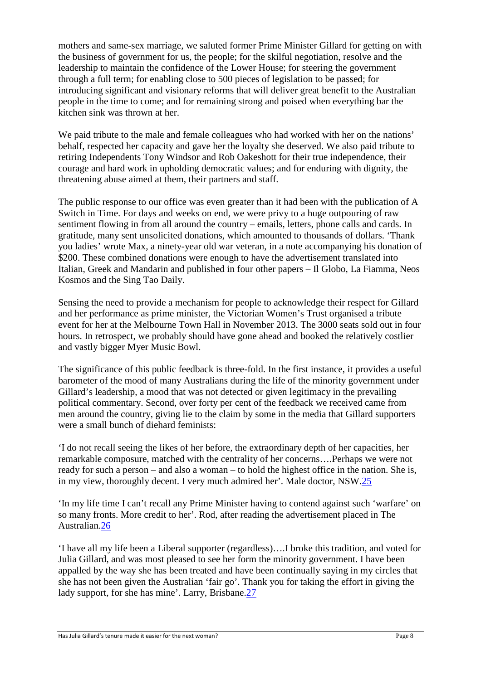mothers and same-sex marriage, we saluted former Prime Minister Gillard for getting on with the business of government for us, the people; for the skilful negotiation, resolve and the leadership to maintain the confidence of the Lower House; for steering the government through a full term; for enabling close to 500 pieces of legislation to be passed; for introducing significant and visionary reforms that will deliver great benefit to the Australian people in the time to come; and for remaining strong and poised when everything bar the kitchen sink was thrown at her.

We paid tribute to the male and female colleagues who had worked with her on the nations' behalf, respected her capacity and gave her the loyalty she deserved. We also paid tribute to retiring Independents Tony Windsor and Rob Oakeshott for their true independence, their courage and hard work in upholding democratic values; and for enduring with dignity, the threatening abuse aimed at them, their partners and staff.

The public response to our office was even greater than it had been with the publication of A Switch in Time. For days and weeks on end, we were privy to a huge outpouring of raw sentiment flowing in from all around the country – emails, letters, phone calls and cards. In gratitude, many sent unsolicited donations, which amounted to thousands of dollars. 'Thank you ladies' wrote Max, a ninety-year old war veteran, in a note accompanying his donation of \$200. These combined donations were enough to have the advertisement translated into Italian, Greek and Mandarin and published in four other papers – Il Globo, La Fiamma, Neos Kosmos and the Sing Tao Daily.

Sensing the need to provide a mechanism for people to acknowledge their respect for Gillard and her performance as prime minister, the Victorian Women's Trust organised a tribute event for her at the Melbourne Town Hall in November 2013. The 3000 seats sold out in four hours. In retrospect, we probably should have gone ahead and booked the relatively costlier and vastly bigger Myer Music Bowl.

The significance of this public feedback is three-fold. In the first instance, it provides a useful barometer of the mood of many Australians during the life of the minority government under Gillard's leadership, a mood that was not detected or given legitimacy in the prevailing political commentary. Second, over forty per cent of the feedback we received came from men around the country, giving lie to the claim by some in the media that Gillard supporters were a small bunch of diehard feminists:

'I do not recall seeing the likes of her before, the extraordinary depth of her capacities, her remarkable composure, matched with the centrality of her concerns….Perhaps we were not ready for such a person – and also a woman – to hold the highest office in the nation. She is, in my view, thoroughly decent. I very much admired her'. Male doctor, NSW.25

'In my life time I can't recall any Prime Minister having to contend against such 'warfare' on so many fronts. More credit to her'. Rod, after reading the advertisement placed in The Australian.26

'I have all my life been a Liberal supporter (regardless)….I broke this tradition, and voted for Julia Gillard, and was most pleased to see her form the minority government. I have been appalled by the way she has been treated and have been continually saying in my circles that she has not been given the Australian 'fair go'. Thank you for taking the effort in giving the lady support, for she has mine'. Larry, Brisbane.27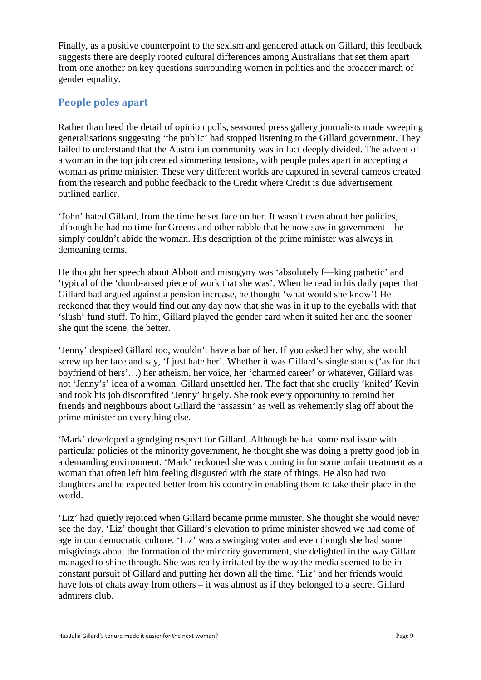Finally, as a positive counterpoint to the sexism and gendered attack on Gillard, this feedback suggests there are deeply rooted cultural differences among Australians that set them apart from one another on key questions surrounding women in politics and the broader march of gender equality.

## **People poles apart**

Rather than heed the detail of opinion polls, seasoned press gallery journalists made sweeping generalisations suggesting 'the public' had stopped listening to the Gillard government. They failed to understand that the Australian community was in fact deeply divided. The advent of a woman in the top job created simmering tensions, with people poles apart in accepting a woman as prime minister. These very different worlds are captured in several cameos created from the research and public feedback to the Credit where Credit is due advertisement outlined earlier.

'John' hated Gillard, from the time he set face on her. It wasn't even about her policies, although he had no time for Greens and other rabble that he now saw in government – he simply couldn't abide the woman. His description of the prime minister was always in demeaning terms.

He thought her speech about Abbott and misogyny was 'absolutely f—king pathetic' and 'typical of the 'dumb-arsed piece of work that she was'. When he read in his daily paper that Gillard had argued against a pension increase, he thought 'what would she know'! He reckoned that they would find out any day now that she was in it up to the eyeballs with that 'slush' fund stuff. To him, Gillard played the gender card when it suited her and the sooner she quit the scene, the better.

'Jenny' despised Gillard too, wouldn't have a bar of her. If you asked her why, she would screw up her face and say, 'I just hate her'. Whether it was Gillard's single status ('as for that boyfriend of hers'…) her atheism, her voice, her 'charmed career' or whatever, Gillard was not 'Jenny's' idea of a woman. Gillard unsettled her. The fact that she cruelly 'knifed' Kevin and took his job discomfited 'Jenny' hugely. She took every opportunity to remind her friends and neighbours about Gillard the 'assassin' as well as vehemently slag off about the prime minister on everything else.

'Mark' developed a grudging respect for Gillard. Although he had some real issue with particular policies of the minority government, he thought she was doing a pretty good job in a demanding environment. 'Mark' reckoned she was coming in for some unfair treatment as a woman that often left him feeling disgusted with the state of things. He also had two daughters and he expected better from his country in enabling them to take their place in the world.

'Liz' had quietly rejoiced when Gillard became prime minister. She thought she would never see the day. 'Liz' thought that Gillard's elevation to prime minister showed we had come of age in our democratic culture. 'Liz' was a swinging voter and even though she had some misgivings about the formation of the minority government, she delighted in the way Gillard managed to shine through. She was really irritated by the way the media seemed to be in constant pursuit of Gillard and putting her down all the time. 'Liz' and her friends would have lots of chats away from others – it was almost as if they belonged to a secret Gillard admirers club.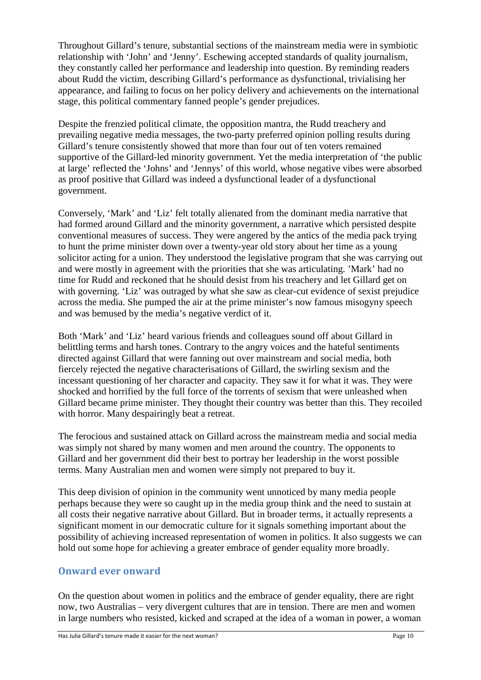Throughout Gillard's tenure, substantial sections of the mainstream media were in symbiotic relationship with 'John' and 'Jenny'. Eschewing accepted standards of quality journalism, they constantly called her performance and leadership into question. By reminding readers about Rudd the victim, describing Gillard's performance as dysfunctional, trivialising her appearance, and failing to focus on her policy delivery and achievements on the international stage, this political commentary fanned people's gender prejudices.

Despite the frenzied political climate, the opposition mantra, the Rudd treachery and prevailing negative media messages, the two-party preferred opinion polling results during Gillard's tenure consistently showed that more than four out of ten voters remained supportive of the Gillard-led minority government. Yet the media interpretation of 'the public at large' reflected the 'Johns' and 'Jennys' of this world, whose negative vibes were absorbed as proof positive that Gillard was indeed a dysfunctional leader of a dysfunctional government.

Conversely, 'Mark' and 'Liz' felt totally alienated from the dominant media narrative that had formed around Gillard and the minority government, a narrative which persisted despite conventional measures of success. They were angered by the antics of the media pack trying to hunt the prime minister down over a twenty-year old story about her time as a young solicitor acting for a union. They understood the legislative program that she was carrying out and were mostly in agreement with the priorities that she was articulating. 'Mark' had no time for Rudd and reckoned that he should desist from his treachery and let Gillard get on with governing. 'Liz' was outraged by what she saw as clear-cut evidence of sexist prejudice across the media. She pumped the air at the prime minister's now famous misogyny speech and was bemused by the media's negative verdict of it.

Both 'Mark' and 'Liz' heard various friends and colleagues sound off about Gillard in belittling terms and harsh tones. Contrary to the angry voices and the hateful sentiments directed against Gillard that were fanning out over mainstream and social media, both fiercely rejected the negative characterisations of Gillard, the swirling sexism and the incessant questioning of her character and capacity. They saw it for what it was. They were shocked and horrified by the full force of the torrents of sexism that were unleashed when Gillard became prime minister. They thought their country was better than this. They recoiled with horror. Many despairingly beat a retreat.

The ferocious and sustained attack on Gillard across the mainstream media and social media was simply not shared by many women and men around the country. The opponents to Gillard and her government did their best to portray her leadership in the worst possible terms. Many Australian men and women were simply not prepared to buy it.

This deep division of opinion in the community went unnoticed by many media people perhaps because they were so caught up in the media group think and the need to sustain at all costs their negative narrative about Gillard. But in broader terms, it actually represents a significant moment in our democratic culture for it signals something important about the possibility of achieving increased representation of women in politics. It also suggests we can hold out some hope for achieving a greater embrace of gender equality more broadly.

### **Onward ever onward**

On the question about women in politics and the embrace of gender equality, there are right now, two Australias – very divergent cultures that are in tension. There are men and women in large numbers who resisted, kicked and scraped at the idea of a woman in power, a woman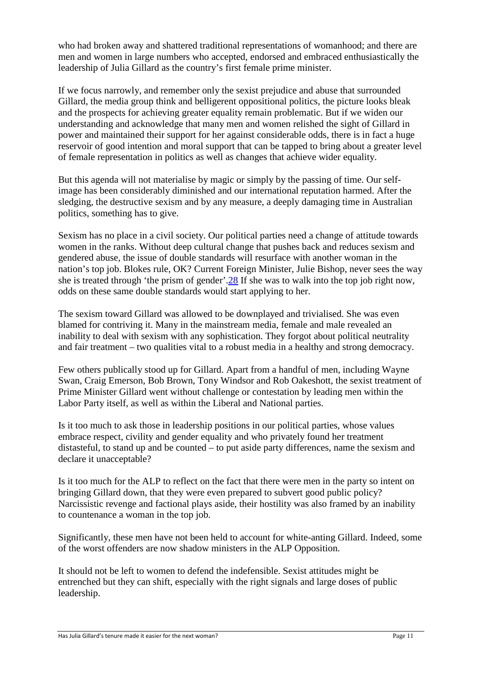who had broken away and shattered traditional representations of womanhood; and there are men and women in large numbers who accepted, endorsed and embraced enthusiastically the leadership of Julia Gillard as the country's first female prime minister.

If we focus narrowly, and remember only the sexist prejudice and abuse that surrounded Gillard, the media group think and belligerent oppositional politics, the picture looks bleak and the prospects for achieving greater equality remain problematic. But if we widen our understanding and acknowledge that many men and women relished the sight of Gillard in power and maintained their support for her against considerable odds, there is in fact a huge reservoir of good intention and moral support that can be tapped to bring about a greater level of female representation in politics as well as changes that achieve wider equality.

But this agenda will not materialise by magic or simply by the passing of time. Our selfimage has been considerably diminished and our international reputation harmed. After the sledging, the destructive sexism and by any measure, a deeply damaging time in Australian politics, something has to give.

Sexism has no place in a civil society. Our political parties need a change of attitude towards women in the ranks. Without deep cultural change that pushes back and reduces sexism and gendered abuse, the issue of double standards will resurface with another woman in the nation's top job. Blokes rule, OK? Current Foreign Minister, Julie Bishop, never sees the way she is treated through 'the prism of gender'.28 If she was to walk into the top job right now, odds on these same double standards would start applying to her.

The sexism toward Gillard was allowed to be downplayed and trivialised. She was even blamed for contriving it. Many in the mainstream media, female and male revealed an inability to deal with sexism with any sophistication. They forgot about political neutrality and fair treatment – two qualities vital to a robust media in a healthy and strong democracy.

Few others publically stood up for Gillard. Apart from a handful of men, including Wayne Swan, Craig Emerson, Bob Brown, Tony Windsor and Rob Oakeshott, the sexist treatment of Prime Minister Gillard went without challenge or contestation by leading men within the Labor Party itself, as well as within the Liberal and National parties.

Is it too much to ask those in leadership positions in our political parties, whose values embrace respect, civility and gender equality and who privately found her treatment distasteful, to stand up and be counted – to put aside party differences, name the sexism and declare it unacceptable?

Is it too much for the ALP to reflect on the fact that there were men in the party so intent on bringing Gillard down, that they were even prepared to subvert good public policy? Narcissistic revenge and factional plays aside, their hostility was also framed by an inability to countenance a woman in the top job.

Significantly, these men have not been held to account for white-anting Gillard. Indeed, some of the worst offenders are now shadow ministers in the ALP Opposition.

It should not be left to women to defend the indefensible. Sexist attitudes might be entrenched but they can shift, especially with the right signals and large doses of public leadership.